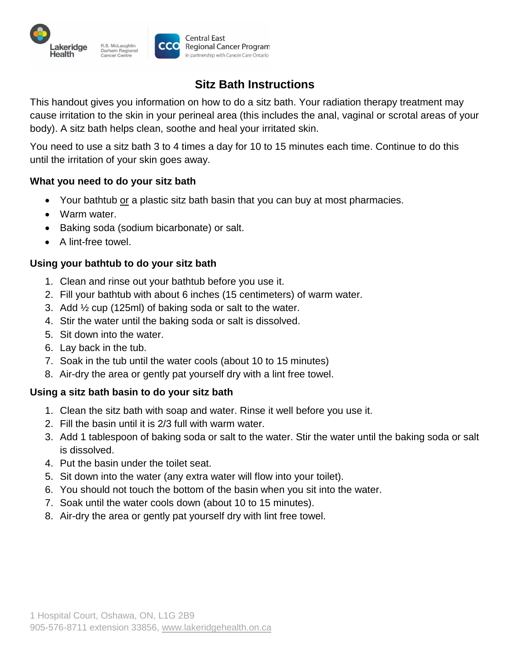

# **Sitz Bath Instructions**

This handout gives you information on how to do a sitz bath. Your radiation therapy treatment may cause irritation to the skin in your perineal area (this includes the anal, vaginal or scrotal areas of your body). A sitz bath helps clean, soothe and heal your irritated skin.

You need to use a sitz bath 3 to 4 times a day for 10 to 15 minutes each time. Continue to do this until the irritation of your skin goes away.

## **What you need to do your sitz bath**

- Your bathtub or a plastic sitz bath basin that you can buy at most pharmacies.
- Warm water.
- Baking soda (sodium bicarbonate) or salt.
- A lint-free towel.

### **Using your bathtub to do your sitz bath**

- 1. Clean and rinse out your bathtub before you use it.
- 2. Fill your bathtub with about 6 inches (15 centimeters) of warm water.
- 3. Add ½ cup (125ml) of baking soda or salt to the water.
- 4. Stir the water until the baking soda or salt is dissolved.
- 5. Sit down into the water.
- 6. Lay back in the tub.
- 7. Soak in the tub until the water cools (about 10 to 15 minutes)
- 8. Air-dry the area or gently pat yourself dry with a lint free towel.

## **Using a sitz bath basin to do your sitz bath**

- 1. Clean the sitz bath with soap and water. Rinse it well before you use it.
- 2. Fill the basin until it is 2/3 full with warm water.
- 3. Add 1 tablespoon of baking soda or salt to the water. Stir the water until the baking soda or salt is dissolved.
- 4. Put the basin under the toilet seat.
- 5. Sit down into the water (any extra water will flow into your toilet).
- 6. You should not touch the bottom of the basin when you sit into the water.
- 7. Soak until the water cools down (about 10 to 15 minutes).
- 8. Air-dry the area or gently pat yourself dry with lint free towel.